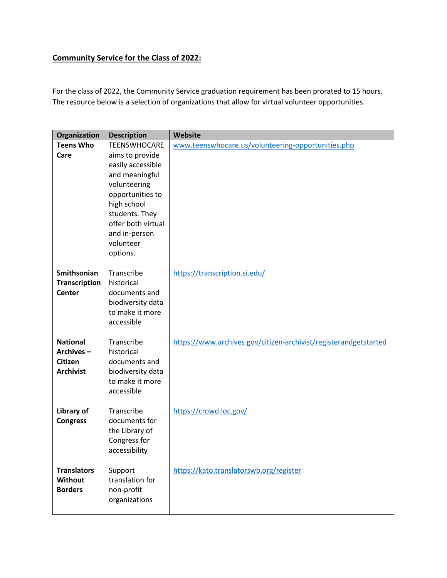## **Community Service for the Class of 2022:**

For the class of 2022, the Community Service graduation requirement has been prorated to 15 hours. The resource below is a selection of organizations that allow for virtual volunteer opportunities.

| Organization                                                | <b>Description</b>                                                                                                                                                                                                 | <b>Website</b>                                                   |
|-------------------------------------------------------------|--------------------------------------------------------------------------------------------------------------------------------------------------------------------------------------------------------------------|------------------------------------------------------------------|
| <b>Teens Who</b><br>Care                                    | <b>TEENSWHOCARE</b><br>aims to provide<br>easily accessible<br>and meaningful<br>volunteering<br>opportunities to<br>high school<br>students. They<br>offer both virtual<br>and in-person<br>volunteer<br>options. | www.teenswhocare.us/volunteering-opportunities.php               |
| Smithsonian<br><b>Transcription</b><br><b>Center</b>        | Transcribe<br>historical<br>documents and<br>biodiversity data<br>to make it more<br>accessible                                                                                                                    | https://transcription.si.edu/                                    |
| <b>National</b><br>Archives-<br>Citizen<br><b>Archivist</b> | Transcribe<br>historical<br>documents and<br>biodiversity data<br>to make it more<br>accessible                                                                                                                    | https://www.archives.gov/citizen-archivist/registerandgetstarted |
| Library of<br><b>Congress</b>                               | Transcribe<br>documents for<br>the Library of<br>Congress for<br>accessibility                                                                                                                                     | https://crowd.loc.gov/                                           |
| <b>Translators</b><br><b>Without</b><br><b>Borders</b>      | Support<br>translation for<br>non-profit<br>organizations                                                                                                                                                          | https://kato.translatorswb.org/register                          |